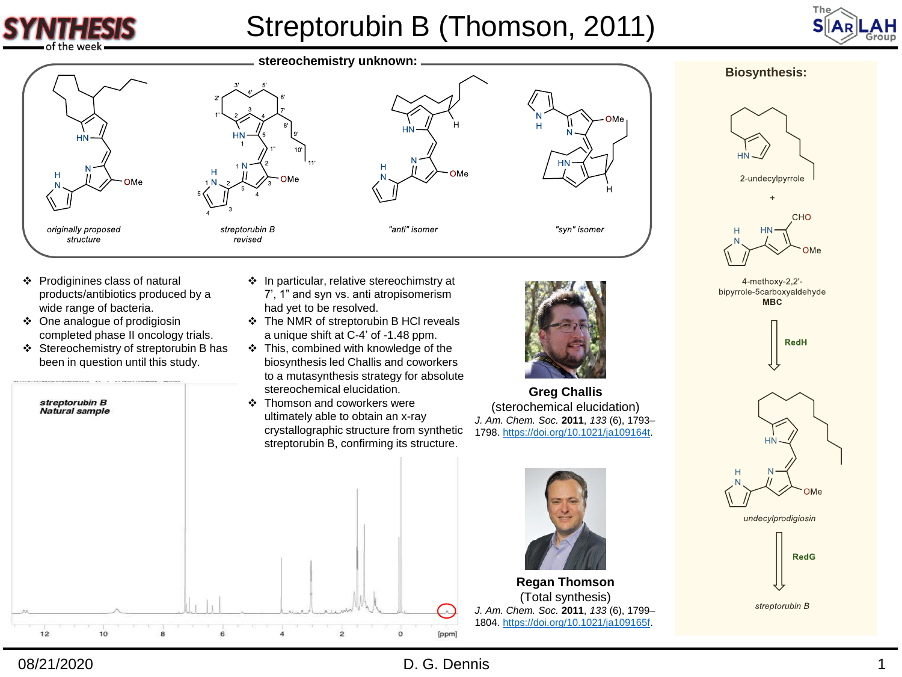

# Streptorubin B (Thomson, 2011)







- ❖ Prodiginines class of natural products/antibiotics produced by a wide range of bacteria.
- ❖ One analogue of prodigiosin completed phase II oncology trials.
- ❖ Stereochemistry of streptorubin B has been in question until this study.
- ❖ In particular, relative stereochimstry at 7', 1" and syn vs. anti atropisomerism had yet to be resolved.
- ❖ The NMR of streptorubin B HCl reveals a unique shift at C-4' of -1.48 ppm.
- ❖ This, combined with knowledge of the biosynthesis led Challis and coworkers to a mutasynthesis strategy for absolute stereochemical elucidation.
- ❖ Thomson and coworkers were ultimately able to obtain an x-ray crystallographic structure from synthetic streptorubin B, confirming its structure.



**Greg Challis** (sterochemical elucidation) *J. Am. Chem. Soc.* **2011**, *133* (6), 1793– 1798.<https://doi.org/10.1021/ja109164t>.



**Regan Thomson** (Total synthesis) *J. Am. Chem. Soc.* **2011**, *133* (6), 1799– 1804.<https://doi.org/10.1021/ja109165f>.

#### **Biosynthesis:**





4-methoxy-2,2'bipyrrole-5carboxyaldehyde **MBC** 





undecylprodigiosin



streptorubin B



## 08/21/2020

## D. G. Dennis 1

 $\lambda$ 

[ppm]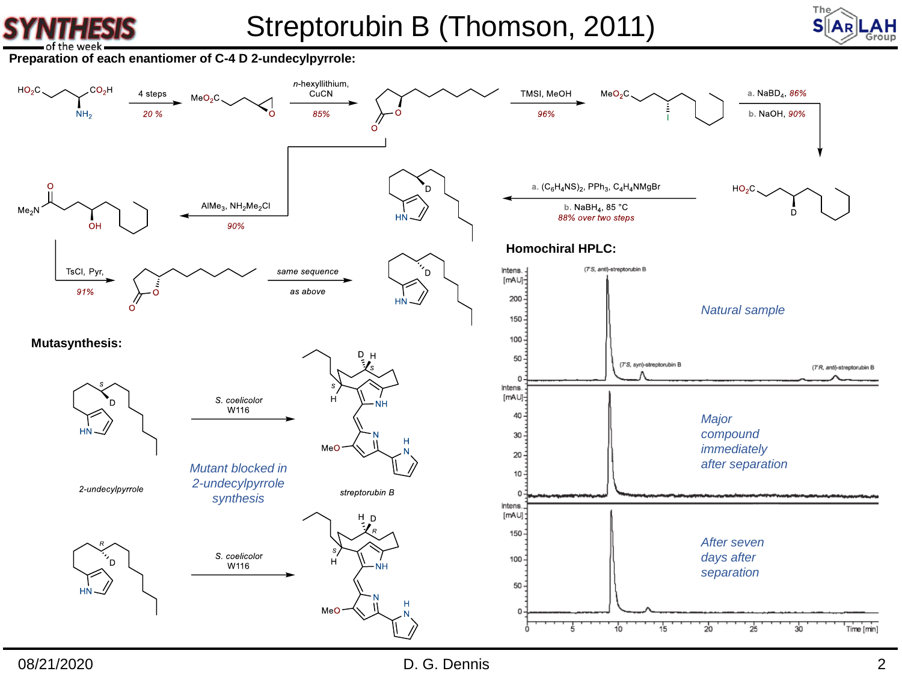



**Preparation of each enantiomer of C-4 D 2-undecylpyrrole:**